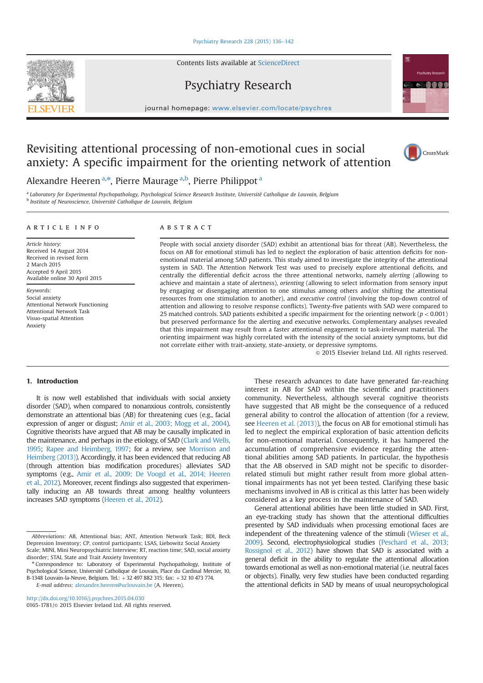### [Psychiatry Research 228 \(2015\) 136](http://dx.doi.org/10.1016/j.psychres.2015.04.030)–142

Contents lists available at [ScienceDirect](www.sciencedirect.com/science/journal/01651781)

# Psychiatry Research

journal homepage: <www.elsevier.com/locate/psychres>

# Revisiting attentional processing of non-emotional cues in social anxiety: A specific impairment for the orienting network of attention

Alexandre Heeren<sup>a,\*</sup>, Pierre Maurage<sup>a,b</sup>, Pierre Philippot<sup>a</sup>

<sup>a</sup> Laboratory for Experimental Psychopathology, Psychological Science Research Institute, Université Catholique de Louvain, Belgium <sup>b</sup> Institute of Neuroscience, Université Catholique de Louvain, Belgium

# ARTICLE INFO

Article history: Received 14 August 2014 Received in revised form 2 March 2015 Accepted 9 April 2015 Available online 30 April 2015

Keywords: Social anxiety Attentional Network Functioning Attentional Network Task Visuo-spatial Attention Anxiety

# **ABSTRACT**

People with social anxiety disorder (SAD) exhibit an attentional bias for threat (AB). Nevertheless, the focus on AB for emotional stimuli has led to neglect the exploration of basic attention deficits for nonemotional material among SAD patients. This study aimed to investigate the integrity of the attentional system in SAD. The Attention Network Test was used to precisely explore attentional deficits, and centrally the differential deficit across the three attentional networks, namely alerting (allowing to achieve and maintain a state of alertness), orienting (allowing to select information from sensory input by engaging or disengaging attention to one stimulus among others and/or shifting the attentional resources from one stimulation to another), and executive control (involving the top-down control of attention and allowing to resolve response conflicts). Twenty-five patients with SAD were compared to 25 matched controls. SAD patients exhibited a specific impairment for the orienting network ( $p < 0.001$ ) but preserved performance for the alerting and executive networks. Complementary analyses revealed that this impairment may result from a faster attentional engagement to task-irrelevant material. The orienting impairment was highly correlated with the intensity of the social anxiety symptoms, but did not correlate either with trait-anxiety, state-anxiety, or depressive symptoms.

 $© 2015 Elsevier Ireland Ltd. All rights reserved.$ 

## 1. Introduction

It is now well established that individuals with social anxiety disorder (SAD), when compared to nonanxious controls, consistently demonstrate an attentional bias (AB) for threatening cues (e.g., facial expression of anger or disgust; Amir et al., 2003; Mogg et al., 2004). Cognitive theorists have argued that AB may be causally implicated in the maintenance, and perhaps in the etiology, of SAD (Clark and Wells, 1995; Rapee and Heimberg, 1997; for a review, see Morrison and Heimberg (2013)). Accordingly, it has been evidenced that reducing AB (through attention bias modification procedures) alleviates SAD symptoms (e.g., Amir et al., 2009; De Voogd et al., 2014; Heeren et al., 2012). Moreover, recent findings also suggested that experimentally inducing an AB towards threat among healthy volunteers increases SAD symptoms (Heeren et al., 2012).

<http://dx.doi.org/10.1016/j.psychres.2015.04.030>

0165-1781/© 2015 Elsevier Ireland Ltd. All rights reserved.



General attentional abilities have been little studied in SAD. First, an eye-tracking study has shown that the attentional difficulties presented by SAD individuals when processing emotional faces are independent of the threatening valence of the stimuli (Wieser et al., 2009). Second, electrophysiological studies (Peschard et al., 2013; Rossignol et al., 2012) have shown that SAD is associated with a general deficit in the ability to regulate the attentional allocation towards emotional as well as non-emotional material (i.e. neutral faces or objects). Finally, very few studies have been conducted regarding the attentional deficits in SAD by means of usual neuropsychological



**COOOO** 



Abbreviations: AB, Attentional bias; ANT, Attention Network Task; BDI, Beck Depression Inventory; CP, control participants; LSAS, Liebowitz Social Anxiety Scale; MINI, Mini Neuropsychiatric Interview; RT, reaction time; SAD, social anxiety disorder; STAI, State and Trait Anxiety Inventory

<sup>n</sup> Correspondence to: Laboratory of Experimental Psychopathology, Institute of Psychological Science, Université Catholique de Louvain, Place du Cardinal Mercier, 10, B-1348 Louvain-la-Neuve, Belgium. Tel.: +32 497 882 315; fax: +32 10 473 774. E-mail address: [alexandre.heeren@uclouvain.be](mailto:alexandre.heeren@uclouvain.be) (A. Heeren).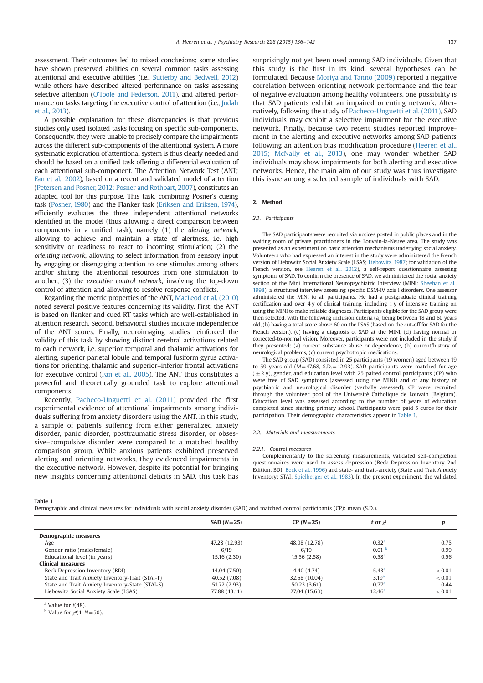assessment. Their outcomes led to mixed conclusions: some studies have shown preserved abilities on several common tasks assessing attentional and executive abilities (i.e., Sutterby and Bedwell, 2012) while others have described altered performance on tasks assessing selective attention (O'Toole and Pederson, 2011), and altered performance on tasks targeting the executive control of attention (i.e., Judah et al., 2013).

A possible explanation for these discrepancies is that previous studies only used isolated tasks focusing on specific sub-components. Consequently, they were unable to precisely compare the impairments across the different sub-components of the attentional system. A more systematic exploration of attentional system is thus clearly needed and should be based on a unified task offering a differential evaluation of each attentional sub-component. The Attention Network Test (ANT; Fan et al., 2002), based on a recent and validated model of attention (Petersen and Posner, 2012; Posner and Rothbart, 2007), constitutes an adapted tool for this purpose. This task, combining Posner's cueing task (Posner, 1980) and the Flanker task (Eriksen and Eriksen, 1974), efficiently evaluates the three independent attentional networks identified in the model (thus allowing a direct comparison between components in a unified task), namely (1) the alerting network, allowing to achieve and maintain a state of alertness, i.e. high sensitivity or readiness to react to incoming stimulation; (2) the orienting network, allowing to select information from sensory input by engaging or disengaging attention to one stimulus among others and/or shifting the attentional resources from one stimulation to another; (3) the executive control network, involving the top-down control of attention and allowing to resolve response conflicts.

Regarding the metric properties of the ANT, MacLeod et al. (2010) noted several positive features concerning its validity. First, the ANT is based on flanker and cued RT tasks which are well-established in attention research. Second, behavioral studies indicate independence of the ANT scores. Finally, neuroimaging studies reinforced the validity of this task by showing distinct cerebral activations related to each network, i.e. superior temporal and thalamic activations for alerting, superior parietal lobule and temporal fusiform gyrus activations for orienting, thalamic and superior–inferior frontal activations for executive control (Fan et al., 2005). The ANT thus constitutes a powerful and theoretically grounded task to explore attentional components.

Recently, Pacheco-Unguetti et al. (2011) provided the first experimental evidence of attentional impairments among individuals suffering from anxiety disorders using the ANT. In this study, a sample of patients suffering from either generalized anxiety disorder, panic disorder, posttraumatic stress disorder, or obsessive–compulsive disorder were compared to a matched healthy comparison group. While anxious patients exhibited preserved alerting and orienting networks, they evidenced impairments in the executive network. However, despite its potential for bringing new insights concerning attentional deficits in SAD, this task has surprisingly not yet been used among SAD individuals. Given that this study is the first in its kind, several hypotheses can be formulated. Because Moriya and Tanno (2009) reported a negative correlation between orienting network performance and the fear of negative evaluation among healthy volunteers, one possibility is that SAD patients exhibit an impaired orienting network. Alternatively, following the study of Pacheco-Unguetti et al. (2011), SAD individuals may exhibit a selective impairment for the executive network. Finally, because two recent studies reported improvement in the alerting and executive networks among SAD patients following an attention bias modification procedure (Heeren et al., 2015; McNally et al., 2013), one may wonder whether SAD individuals may show impairments for both alerting and executive networks. Hence, the main aim of our study was thus investigate this issue among a selected sample of individuals with SAD.

#### 2. Method

#### 2.1. Participants

The SAD participants were recruited via notices posted in public places and in the waiting room of private practitioners in the Louvain-la-Neuve area. The study was presented as an experiment on basic attention mechanisms underlying social anxiety. Volunteers who had expressed an interest in the study were administered the French version of Liebowitz Social Anxiety Scale (LSAS; Liebowitz, 1987; for validation of the French version, see Heeren et al., 2012), a self-report questionnaire assessing symptoms of SAD. To confirm the presence of SAD, we administered the social anxiety section of the Mini International Neuropsychiatric Interview (MINI; Sheehan et al., 1998), a structured interview assessing specific DSM-IV axis I disorders. One assessor administered the MINI to all participants. He had a postgraduate clinical training certification and over 4 y of clinical training, including 1 y of intensive training on using the MINI to make reliable diagnoses. Participants eligible for the SAD group were then selected, with the following inclusion criteria (a) being between 18 and 60 years old, (b) having a total score above 60 on the LSAS (based on the cut-off for SAD for the French version), (c) having a diagnosis of SAD at the MINI, (d) having normal or corrected-to-normal vision. Moreover, participants were not included in the study if they presented: (a) current substance abuse or dependence, (b) current/history of neurological problems, (c) current psychotropic medications.

The SAD group (SAD) consisted in 25 participants (19 women) aged between 19 to 59 years old  $(M=47.68, S.D.=12.93)$ . SAD participants were matched for age  $(2 \times 2)$ , gender, and education level with 25 paired control participants (CP) who were free of SAD symptoms (assessed using the MINI) and of any history of psychiatric and neurological disorder (verbally assessed). CP were recruited through the volunteer pool of the Université Catholique de Louvain (Belgium). Education level was assessed according to the number of years of education completed since starting primary school. Participants were paid 5 euros for their participation. Their demographic characteristics appear in Table 1.

#### 2.2. Materials and measurements

## 2.2.1. Control measures

Complementarily to the screening measurements, validated self-completion questionnaires were used to assess depression (Beck Depression Inventory 2nd Edition, BDI; Beck et al., 1996) and state- and trait-anxiety (State and Trait Anxiety Inventory; STAI; Spielberger et al., 1983). In the present experiment, the validated

Table 1

Demographic and clinical measures for individuals with social anxiety disorder (SAD) and matched control participants (CP): mean (S.D.).

|                                                  | $SAD(N=25)$   | $CP (N=25)$   | t or $x^2$         | p      |
|--------------------------------------------------|---------------|---------------|--------------------|--------|
| Demographic measures                             |               |               |                    |        |
| Age                                              | 47.28 (12.93) | 48.08 (12.78) | 0.32 <sup>4</sup>  | 0.75   |
| Gender ratio (male/female)                       | 6/19          | 6/19          | 0.01 <sup>h</sup>  | 0.99   |
| Educational level (in years)                     | 15.16(2.30)   | 15.56 (2.58)  | 0.58 <sup>a</sup>  | 0.56   |
| <b>Clinical measures</b>                         |               |               |                    |        |
| Beck Depression Inventory (BDI)                  | 14.04 (7.50)  | 4.40 (4.74)   | 5.43 <sup>a</sup>  | < 0.01 |
| State and Trait Anxiety Inventory-Trait (STAI-T) | 40.52 (7.08)  | 32.68 (10.04) | 3.19 <sup>a</sup>  | < 0.01 |
| State and Trait Anxiety Inventory-State (STAI-S) | 51.72 (2.93)  | 50.23(3.61)   | 0.77 <sup>a</sup>  | 0.44   |
| Liebowitz Social Anxiety Scale (LSAS)            | 77.88 (13.11) | 27.04 (15.63) | 12.46 <sup>a</sup> | < 0.01 |

 $a$  Value for  $t(48)$ .

<sup>b</sup> Value for  $\chi^2(1, N=50)$ .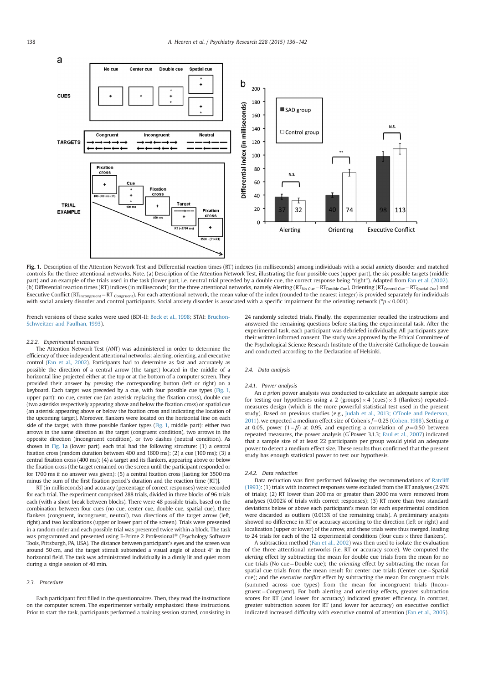

Fig. 1. Description of the Attention Network Test and Differential reaction times (RT) indexes (in milliseconds) among individuals with a social anxiety disorder and matched controls for the three attentional networks. Note. (a) Description of the Attention Network Test, illustrating the four possible cues (upper part), the six possible targets (middle part) and an example of the trials used in the task (lower part, i.e. neutral trial preceded by a double cue, the correct response being "right"). Adapted from Fan et al. (2002). (b) Differential reaction times (RT) indices (in milliseconds) for the three attentional networks, namely Alerting ( $RT_{No Cue} - RT_{Double Cue}$ ), Orienting ( $RT_{Central Cue} - RT_{Spatial Cue}$ ) and Executive Conflict ( $RT_{\text{Incongruent}} - RT_{\text{congruent}}$ ). For each attentional network, the mean value of the index (rounded to the nearest integer) is provided separately for individuals with social anxiety disorder and control participants. Social anxiety disorder is associated with a specific impairment for the orienting network ( $p$  < 0.001).

French versions of these scales were used (BDI-II: Beck et al., 1998; STAI: Bruchon-Schweitzer and Paulhan, 1993).

#### 2.2.2. Experimental measures

The Attention Network Test (ANT) was administered in order to determine the efficiency of three independent attentional networks: alerting, orienting, and executive control (Fan et al., 2002). Participants had to determine as fast and accurately as possible the direction of a central arrow (the target) located in the middle of a horizontal line projected either at the top or at the bottom of a computer screen. They provided their answer by pressing the corresponding button (left or right) on a keyboard. Each target was preceded by a cue, with four possible cue types (Fig. 1, upper part): no cue, center cue (an asterisk replacing the fixation cross), double cue (two asterisks respectively appearing above and below the fixation cross) or spatial cue (an asterisk appearing above or below the fixation cross and indicating the location of the upcoming target). Moreover, flankers were located on the horizontal line on each side of the target, with three possible flanker types (Fig. 1, middle part): either two arrows in the same direction as the target (congruent condition), two arrows in the opposite direction (incongruent condition), or two dashes (neutral condition). As shown in Fig. 1a (lower part), each trial had the following structure: (1) a central fixation cross (random duration between 400 and 1600 ms); (2) a cue (100 ms); (3) a central fixation cross (400 ms); (4) a target and its flankers, appearing above or below the fixation cross (the target remained on the screen until the participant responded or for 1700 ms if no answer was given); (5) a central fixation cross [lasting for 3500 ms minus the sum of the first fixation period's duration and the reaction time (RT)].

RT (in milliseconds) and accuracy (percentage of correct responses) were recorded for each trial. The experiment comprised 288 trials, divided in three blocks of 96 trials each (with a short break between blocks). There were 48 possible trials, based on the combination between four cues (no cue, center cue, double cue, spatial cue), three flankers (congruent, incongruent, neutral), two directions of the target arrow (left, right) and two localizations (upper or lower part of the screen). Trials were presented in a random order and each possible trial was presented twice within a block. The task was programmed and presented using E-Prime 2 Professional<sup>®</sup> (Psychology Software Tools, Pittsburgh, PA, USA). The distance between participant's eyes and the screen was around 50 cm, and the target stimuli subtended a visual angle of about  $4^{\circ}$  in the horizontal field. The task was administrated individually in a dimly lit and quiet room during a single session of 40 min.

#### 2.3. Procedure

Each participant first filled in the questionnaires. Then, they read the instructions on the computer screen. The experimenter verbally emphasized these instructions. Prior to start the task, participants performed a training session started, consisting in 24 randomly selected trials. Finally, the experimenter recalled the instructions and answered the remaining questions before starting the experimental task. After the experimental task, each participant was debriefed individually. All participants gave their written informed consent. The study was approved by the Ethical Committee of the Psychological Science Research Institute of the Université Catholique de Louvain and conducted according to the Declaration of Helsinki.

#### 2.4. Data analysis

#### 2.4.1. Power analysis

An a priori power analysis was conducted to calculate an adequate sample size for testing our hypotheses using a 2 (groups)  $\times$  4 (cues)  $\times$  3 (flankers) repeatedmeasures design (which is the more powerful statistical test used in the present study). Based on previous studies (e.g., Judah et al., 2013; O'Toole and Pederson, 2011), we expected a medium effect size of Cohen's  $f=0.25$  (Cohen, 1988). Setting  $\alpha$ at 0.05, power (1 -  $\beta$ ) at 0.95, and expecting a correlation of  $\rho$  = 0.50 between repeated measures, the power analysis (G<sup>\*</sup>Power 3.1.3; Faul et al., 2007) indicated that a sample size of at least 22 participants per group would yield an adequate power to detect a medium effect size. These results thus confirmed that the present study has enough statistical power to test our hypothesis.

#### 2.4.2. Data reduction

Data reduction was first performed following the recommendations of Ratcliff (1993): (1) trials with incorrect responses were excluded from the RT analyses (2.97% of trials); (2) RT lower than 200 ms or greater than 2000 ms were removed from analyses (0.002% of trials with correct responses); (3) RT more than two standard deviations below or above each participant's mean for each experimental condition were discarded as outliers (0.013% of the remaining trials). A preliminary analysis showed no difference in RT or accuracy according to the direction (left or right) and localization (upper or lower) of the arrow, and these trials were thus merged, leading to 24 trials for each of the 12 experimental conditions (four cues  $\times$  three flankers).

A subtraction method (Fan et al., 2002) was then used to isolate the evaluation of the three attentional networks (i.e. RT or accuracy score). We computed the alerting effect by subtracting the mean for double cue trials from the mean for no cue trials (No cue - Double cue); the orienting effect by subtracting the mean for spatial cue trials from the mean result for center cue trials (Center cue - Spatial cue); and the executive conflict effect by subtracting the mean for congruent trials (summed across cue types) from the mean for incongruent trials (Incongruent - Congruent). For both alerting and orienting effects, greater subtraction scores for RT (and lower for accuracy) indicated greater efficiency. In contrast, greater subtraction scores for RT (and lower for accuracy) on executive conflict indicated increased difficulty with executive control of attention (Fan et al., 2005).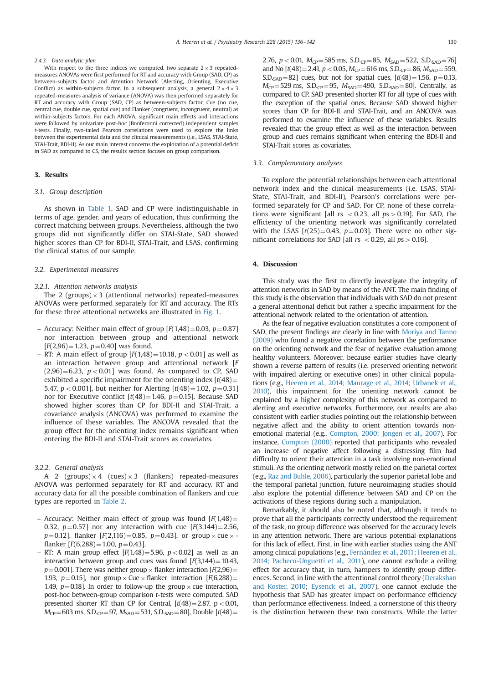#### 2.4.3. Data analytic plan

With respect to the three indices we computed, two separate  $2 \times 3$  repeatedmeasures ANOVAs were first performed for RT and accuracy with Group (SAD, CP) as between-subjects factor and Attention Network (Alerting, Orienting, Executive Conflict) as within-subjects factor. In a subsequent analysis, a general  $2 \times 4 \times 3$ repeated-measures analysis of variance (ANOVA) was then performed separately for RT and accuracy with Group (SAD, CP) as between-subjects factor, Cue (no cue, central cue, double cue, spatial cue) and Flanker (congruent, incongruent, neutral) as within-subjects factors. For each ANOVA, significant main effects and interactions were followed by univariate post-hoc (Bonferonni corrected) independent samples t-tests. Finally, two-tailed Pearson correlations were used to explore the links between the experimental data and the clinical measurements (i.e., LSAS, STAI-State, STAI-Trait, BDI-II). As our main interest concerns the exploration of a potential deficit in SAD as compared to CS, the results section focuses on group comparison.

### 3. Results

## 3.1. Group description

As shown in Table 1, SAD and CP were indistinguishable in terms of age, gender, and years of education, thus confirming the correct matching between groups. Nevertheless, although the two groups did not significantly differ on STAI-State, SAD showed higher scores than CP for BDI-II, STAI-Trait, and LSAS, confirming the clinical status of our sample.

## 3.2. Experimental measures

#### 3.2.1. Attention networks analysis

The 2 (groups)  $\times$  3 (attentional networks) repeated-measures ANOVAs were performed separately for RT and accuracy. The RTs for these three attentional networks are illustrated in Fig. 1.

- Accuracy: Neither main effect of group  $[F(1,48)=0.03, p=0.87]$ nor interaction between group and attentional network  $[F(2,96)=1.23, p=0.40]$  was found.
- RT: A main effect of group  $[F(1,48) = 10.18, p < 0.01]$  as well as an interaction between group and attentional network [F  $(2,96) = 6.23$ ,  $p < 0.01$ ] was found. As compared to CP, SAD exhibited a specific impairment for the orienting index  $[t(48)$  = 5.47,  $p < 0.001$ ], but neither for Alerting  $[t(48)=1.02, p=0.31]$ nor for Executive conflict  $[t(48)=1.46, p=0.15]$ . Because SAD showed higher scores than CP for BDI-II and STAI-Trait, a covariance analysis (ANCOVA) was performed to examine the influence of these variables. The ANCOVA revealed that the group effect for the orienting index remains significant when entering the BDI-II and STAI-Trait scores as covariates.

### 3.2.2. General analysis

A 2 (groups) $\times$ 4 (cues) $\times$ 3 (flankers) repeated-measures ANOVA was performed separately for RT and accuracy. RT and accuracy data for all the possible combination of flankers and cue types are reported in Table 2.

- Accuracy: Neither main effect of group was found  $[F(1,48)$  = 0.32,  $p=0.57$ ] nor any interaction with cue [F(3,144)=2.56,  $p=0.12$ ], flanker [F(2,116)=0.85,  $p=0.43$ ], or group  $\times$  cue  $\times$  flanker [ $F(6,288) = 1.00$ ,  $p = 0.43$ ].
- RT: A main group effect  $[F(1,48) = 5.96, p < 0.02]$  as well as an interaction between group and cues was found  $[F(3,144)=10.43]$ ,  $p=0.001$ ]. There was neither group  $\times$  flanker interaction [F(2,96)= 1.93,  $p=0.15$ ], nor group  $\times$  Cue  $\times$  flanker interaction [F(6,288)= 1.49,  $p=0.18$ ]. In order to follow-up the group  $\times$  cue interaction, post-hoc between-group comparison t-tests were computed. SAD presented shorter RT than CP for Central,  $[t(48)=2.87, p<0.01,$  $M_{CP}$ =603 ms, S.D.<sub>CP</sub>=97,  $M_{SAD}$ =531, S.D.<sub>SAD</sub>=80], Double [t(48)=

2.76,  $p < 0.01$ ,  $M_{CP} = 585$  ms, S.D.<sub>CP</sub> = 85,  $M_{SAD} = 522$ , S.D.<sub>SAD</sub> = 76] and No  $[t(48) = 2.41, p < 0.05, M_{CP} = 616 \text{ ms}, S.D_{CP} = 86, M_{SAD} = 559,$ S.D.<sub>SAD</sub>=82] cues, but not for spatial cues,  $[t(48)=1.56, p=0.13,$  $M_{CP}$ =529 ms, S.D.<sub>CP</sub>=95,  $M_{SAD}$ =490, S.D.<sub>SAD</sub>=80]. Centrally, as compared to CP, SAD presented shorter RT for all type of cues with the exception of the spatial ones. Because SAD showed higher scores than CP for BDI-II and STAI-Trait, and an ANCOVA was performed to examine the influence of these variables. Results revealed that the group effect as well as the interaction between group and cues remains significant when entering the BDI-II and STAI-Trait scores as covariates.

#### 3.3. Complementary analyses

To explore the potential relationships between each attentional network index and the clinical measurements (i.e. LSAS, STAI-State, STAI-Trait, and BDI-II), Pearson's correlations were performed separately for CP and SAD. For CP, none of these correlations were significant [all  $rs < 0.23$ , all  $ps > 0.19$ ]. For SAD, the efficiency of the orienting network was significantly correlated with the LSAS  $[r(25)=0.43, p=0.03]$ . There were no other significant correlations for SAD [all  $rs < 0.29$ , all  $ps > 0.16$ ].

## 4. Discussion

This study was the first to directly investigate the integrity of attention networks in SAD by means of the ANT. The main finding of this study is the observation that individuals with SAD do not present a general attentional deficit but rather a specific impairment for the attentional network related to the orientation of attention.

As the fear of negative evaluation constitutes a core component of SAD, the present findings are clearly in line with Moriya and Tanno (2009) who found a negative correlation between the performance on the orienting network and the fear of negative evaluation among healthy volunteers. Moreover, because earlier studies have clearly shown a reverse pattern of results (i.e. preserved orienting network with impaired alerting or executive ones) in other clinical populations (e.g., Heeren et al., 2014; Maurage et al., 2014; Urbanek et al., 2010), this impairment for the orienting network cannot be explained by a higher complexity of this network as compared to alerting and executive networks. Furthermore, our results are also consistent with earlier studies pointing out the relationship between negative affect and the ability to orient attention towards nonemotional material (e.g., Compton, 2000; Jongen et al., 2007). For instance, Compton (2000) reported that participants who revealed an increase of negative affect following a distressing film had difficulty to orient their attention in a task involving non-emotional stimuli. As the orienting network mostly relied on the parietal cortex (e.g., Raz and Buhle, 2006), particularly the superior parietal lobe and the temporal parietal junction, future neuroimaging studies should also explore the potential difference between SAD and CP on the activations of these regions during such a manipulation.

Remarkably, it should also be noted that, although it tends to prove that all the participants correctly understood the requirement of the task, no group difference was observed for the accuracy levels in any attention network. There are various potential explanations for this lack of effect. First, in line with earlier studies using the ANT among clinical populations (e.g., Fernández et al., 2011; Heeren et al., 2014; Pacheco-Unguetti et al., 2011), one cannot exclude a ceiling effect for accuracy that, in turn, hampers to identify group differences. Second, in line with the attentional control theory (Derakshan and Koster, 2010; Eysenck et al., 2007), one cannot exclude the hypothesis that SAD has greater impact on performance efficiency than performance effectiveness. Indeed, a cornerstone of this theory is the distinction between these two constructs. While the latter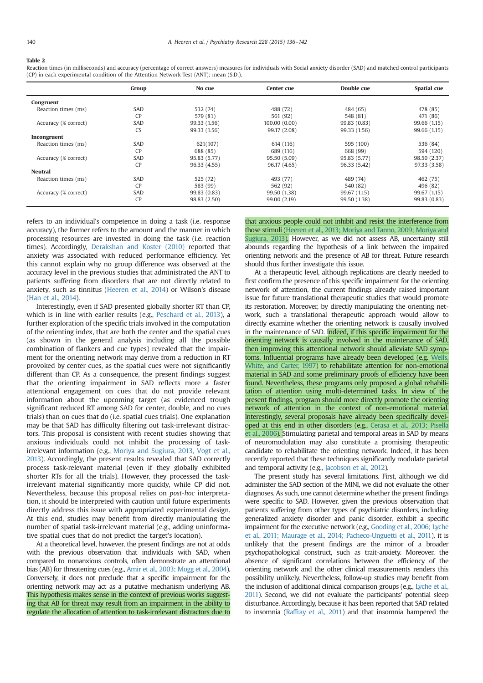#### Table 2

Reaction times (in milliseconds) and accuracy (percentage of correct answers) measures for individuals with Social anxiety disorder (SAD) and matched control participants (CP) in each experimental condition of the Attention Network Test (ANT): mean (S.D.).

|                      | Group     | No cue       | Center cue   | Double cue   | <b>Spatial cue</b> |
|----------------------|-----------|--------------|--------------|--------------|--------------------|
| Congruent            |           |              |              |              |                    |
| Reaction times (ms)  | SAD       | 532 (74)     | 488 (72)     | 484 (65)     | 478 (85)           |
|                      | CP        | 579 (81)     | 561 (92)     | 548 (81)     | 471 (86)           |
| Accuracy (% correct) | SAD       | 99.33 (1.56) | 100.00(0.00) | 99.83 (0.83) | 99.66 (1.15)       |
|                      | <b>CS</b> | 99.33 (1.56) | 99.17 (2.08) | 99.33 (1.56) | 99.66 (1.15)       |
| Incongruent          |           |              |              |              |                    |
| Reaction times (ms)  | SAD       | 621(107)     | 614 (116)    | 595 (100)    | 536 (84)           |
|                      | CP        | 688 (85)     | 689 (116)    | 668 (99)     | 594 (120)          |
| Accuracy (% correct) | SAD       | 95.83 (5.77) | 95.50 (5.09) | 95.83 (5.77) | 98.50 (2.37)       |
|                      | CP        | 96.33 (4.55) | 96.17 (4.65) | 96.33 (5.42) | 97.33 (3.58)       |
| <b>Neutral</b>       |           |              |              |              |                    |
| Reaction times (ms)  | SAD       | 525 (72)     | 493 (77)     | 489 (74)     | 462 (75)           |
|                      | CP        | 583 (99)     | 562 (92)     | 540 (82)     | 496 (82)           |
| Accuracy (% correct) | SAD       | 99.83 (0.83) | 99.50 (1.38) | 99.67 (1.15) | 99.67 (1.15)       |
|                      | CP        | 98.83 (2.50) | 99.00 (2.19) | 99.50 (1.38) | 99.83 (0.83)       |

refers to an individual's competence in doing a task (i.e. response accuracy), the former refers to the amount and the manner in which processing resources are invested in doing the task (i.e. reaction times). Accordingly, Derakshan and Koster (2010) reported that anxiety was associated with reduced performance efficiency. Yet this cannot explain why no group difference was observed at the accuracy level in the previous studies that administrated the ANT to patients suffering from disorders that are not directly related to anxiety, such as tinnitus (Heeren et al., 2014) or Wilson's disease (Han et al., 2014).

Interestingly, even if SAD presented globally shorter RT than CP, which is in line with earlier results (e.g., Peschard et al., 2013), a further exploration of the specific trials involved in the computation of the orienting index, that are both the center and the spatial cues (as shown in the general analysis including all the possible combination of flankers and cue types) revealed that the impairment for the orienting network may derive from a reduction in RT provoked by center cues, as the spatial cues were not significantly different than CP. As a consequence, the present findings suggest that the orienting impairment in SAD reflects more a faster attentional engagement on cues that do not provide relevant information about the upcoming target (as evidenced trough significant reduced RT among SAD for center, double, and no cues trials) than on cues that do (i.e. spatial cues trials). One explanation may be that SAD has difficulty filtering out task-irrelevant distractors. This proposal is consistent with recent studies showing that anxious individuals could not inhibit the processing of taskirrelevant information (e.g., Moriya and Sugiura, 2013, Vogt et al., 2013). Accordingly, the present results revealed that SAD correctly process task-relevant material (even if they globally exhibited shorter RTs for all the trials). However, they processed the taskirrelevant material significantly more quickly, while CP did not. Nevertheless, because this proposal relies on post-hoc interpretation, it should be interpreted with caution until future experiments directly address this issue with appropriated experimental design. At this end, studies may benefit from directly manipulating the number of spatial task-irrelevant material (e.g., adding uninformative spatial cues that do not predict the target's location).

At a theoretical level, however, the present findings are not at odds with the previous observation that individuals with SAD, when compared to nonanxious controls, often demonstrate an attentional bias (AB) for threatening cues (e.g., Amir et al., 2003; Mogg et al., 2004). Conversely, it does not preclude that a specific impairment for the orienting network may act as a putative mechanism underlying AB. This hypothesis makes sense in the context of previous works suggesting that AB for threat may result from an impairment in the ability to regulate the allocation of attention to task-irrelevant distractors due to

that anxious people could not inhibit and resist the interference from those stimuli (Heeren et al., 2013; Moriya and Tanno, 2009; Moriya and Sugiura, 2013). However, as we did not assess AB, uncertainty still abounds regarding the hypothesis of a link between the impaired orienting network and the presence of AB for threat. Future research should thus further investigate this issue.

At a therapeutic level, although replications are clearly needed to first confirm the presence of this specific impairment for the orienting network of attention, the current findings already raised important issue for future translational therapeutic studies that would promote its restoration. Moreover, by directly manipulating the orienting network, such a translational therapeutic approach would allow to directly examine whether the orienting network is causally involved in the maintenance of SAD. Indeed, if this specific impairment for the orienting network is causally involved in the maintenance of SAD, then improving this attentional network should alleviate SAD symptoms. Influential programs have already been developed (e.g. Wells, White, and Carter, 1997) to rehabilitate attention for non-emotional material in SAD and some preliminary proofs of efficiency have been found. Nevertheless, these programs only proposed a global rehabilitation of attention using multi-determined tasks. In view of the present findings, program should more directly promote the orienting network of attention in the context of non-emotional material. Interestingly, several proposals have already been specifically developed at this end in other disorders (e.g., Cerasa et al., 2013; Pisella et al., 2006). Stimulating parietal and temporal areas in SAD by means of neuromodulation may also constitute a promising therapeutic candidate to rehabilitate the orienting network. Indeed, it has been recently reported that these techniques significantly modulate parietal and temporal activity (e.g., Jacobson et al., 2012).

The present study has several limitations. First, although we did administer the SAD section of the MINI, we did not evaluate the other diagnoses. As such, one cannot determine whether the present findings were specific to SAD. However, given the previous observation that patients suffering from other types of psychiatric disorders, including generalized anxiety disorder and panic disorder, exhibit a specific impairment for the executive network (e.g., Gooding et al., 2006; Lyche et al., 2011; Maurage et al., 2014; Pacheco-Unguetti et al., 2011), it is unlikely that the present findings are the mirror of a broader psychopathological construct, such as trait-anxiety. Moreover, the absence of significant correlations between the efficiency of the orienting network and the other clinical measurements renders this possibility unlikely. Nevertheless, follow-up studies may benefit from the inclusion of additional clinical comparison groups (e.g., Lyche et al., 2011). Second, we did not evaluate the participants' potential sleep disturbance. Accordingly, because it has been reported that SAD related to insomnia (Raffray et al., 2011) and that insomnia hampered the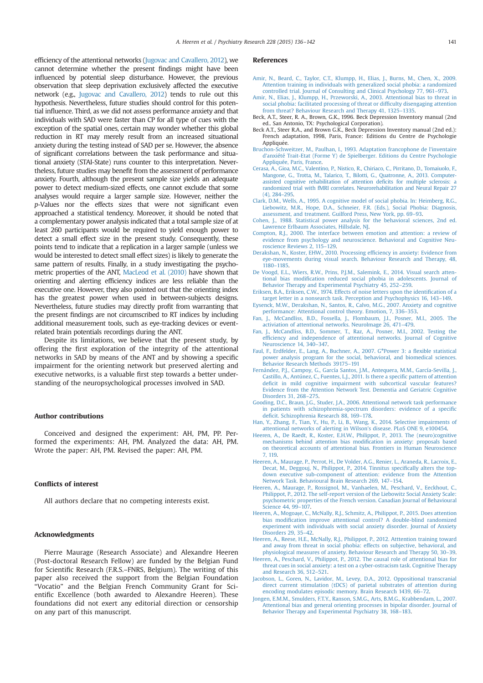efficiency of the attentional networks (Jugovac and Cavallero, 2012), we cannot determine whether the present findings might have been influenced by potential sleep disturbance. However, the previous observation that sleep deprivation exclusively affected the executive network (e.g., Jugovac and Cavallero, 2012) tends to rule out this hypothesis. Nevertheless, future studies should control for this potential influence. Third, as we did not assess performance anxiety and that individuals with SAD were faster than CP for all type of cues with the exception of the spatial ones, certain may wonder whether this global reduction in RT may merely result from an increased situational anxiety during the testing instead of SAD per se. However, the absence of significant correlations between the task performance and situational anxiety (STAI-State) runs counter to this interpretation. Nevertheless, future studies may benefit from the assessment of performance anxiety. Fourth, although the present sample size yields an adequate power to detect medium-sized effects, one cannot exclude that some analyses would require a larger sample size. However, neither the p-Values nor the effects sizes that were not significant even approached a statistical tendency. Moreover, it should be noted that a complementary power analysis indicated that a total sample size of at least 260 participants would be required to yield enough power to detect a small effect size in the present study. Consequently, these points tend to indicate that a replication in a larger sample (unless we would be interested to detect small effect sizes) is likely to generate the same pattern of results. Finally, in a study investigating the psychometric properties of the ANT, MacLeod et al. (2010) have shown that orienting and alerting efficiency indices are less reliable than the executive one. However, they also pointed out that the orienting index has the greatest power when used in between-subjects designs. Nevertheless, future studies may directly profit from warranting that the present findings are not circumscribed to RT indices by including additional measurement tools, such as eye-tracking devices or eventrelated brain potentials recordings during the ANT.

Despite its limitations, we believe that the present study, by offering the first exploration of the integrity of the attentional networks in SAD by means of the ANT and by showing a specific impairment for the orienting network but preserved alerting and executive networks, is a valuable first step towards a better understanding of the neuropsychological processes involved in SAD.

### Author contributions

Conceived and designed the experiment: AH, PM, PP. Performed the experiments: AH, PM. Analyzed the data: AH, PM. Wrote the paper: AH, PM. Revised the paper: AH, PM.

#### Conflicts of interest

All authors declare that no competing interests exist.

#### Acknowledgments

Pierre Maurage (Research Associate) and Alexandre Heeren (Post-doctoral Research Fellow) are funded by the Belgian Fund for Scientific Research (F.R.S.–FNRS, Belgium). The writing of this paper also received the support from the Belgian Foundation "Vocatio" and the Belgian French Community Grant for Scientific Excellence (both awarded to Alexandre Heeren). These foundations did not exert any editorial direction or censorship on any part of this manuscript.

#### References

- [Amir, N., Beard, C., Taylor, C.T., Klumpp, H., Elias, J., Burns, M., Chen, X., 2009.](http://refhub.elsevier.com/S0165-1781(15)00233-4/sbref1) [Attention training in individuals with generalized social phobia: a randomized](http://refhub.elsevier.com/S0165-1781(15)00233-4/sbref1) [controlled trial. Journal of Consulting and Clinical Psychology 77, 961](http://refhub.elsevier.com/S0165-1781(15)00233-4/sbref1)–973.
- [Amir, N., Elias, J., Klumpp, H., Przeworski, A., 2003. Attentional bias to threat in](http://refhub.elsevier.com/S0165-1781(15)00233-4/sbref2) [social phobia: facilitated processing of threat or dif](http://refhub.elsevier.com/S0165-1781(15)00233-4/sbref2)ficulty disengaging attention [from threat? Behaviour Research and Therapy 41, 1325](http://refhub.elsevier.com/S0165-1781(15)00233-4/sbref2)–1335.
- Beck, A.T., Steer, R. A., Brown, G.K., 1996. Beck Depression Inventory manual (2nd ed.. San Antonio, TX: Psychological Corporation).
- Beck A.T., Steer R.A., and Brown G.K., Beck Depression Inventory manual (2nd ed.): French adaptation, 1998, Paris, France: Editions du Centre de Psychologie Appliquée.
- [Bruchon-Schweitzer, M., Paulhan, I., 1993. Adaptation francophone de l](http://refhub.elsevier.com/S0165-1781(15)00233-4/sbref4)'inventaire d'[anxiété Trait-Etat \(Forme Y\) de Spielberger. Editions du Centre Psychologie](http://refhub.elsevier.com/S0165-1781(15)00233-4/sbref4) [Appliquée, Paris, France.](http://refhub.elsevier.com/S0165-1781(15)00233-4/sbref4)
- [Cerasa, A., Gioa, M.C., Valentino, P., Nistico, R., Chiriaco, C., Pirritano, D., Tomaiuolo, F.,](http://refhub.elsevier.com/S0165-1781(15)00233-4/sbref5) [Mangone, G., Trotta, M., Talarico, T., Bilotti, G., Quatronne, A., 2013. Computer](http://refhub.elsevier.com/S0165-1781(15)00233-4/sbref5)[assisted cognitive rehabilitation of attention de](http://refhub.elsevier.com/S0165-1781(15)00233-4/sbref5)ficits for multiple sclerosis: a [randomized trial with fMRI correlates. Neurorehabilitation and Neural Repair 27](http://refhub.elsevier.com/S0165-1781(15)00233-4/sbref5) [\(4\), 284](http://refhub.elsevier.com/S0165-1781(15)00233-4/sbref5)–295.
- [Clark, D.M., Wells, A., 1995. A cognitive model of social phobia. In: Heimberg, R.G.,](http://refhub.elsevier.com/S0165-1781(15)00233-4/sbref6) [Liebowitz, M.R., Hope, D.A., Schneier, F.R. \(Eds.\), Social Phobia: Diagnosis,](http://refhub.elsevier.com/S0165-1781(15)00233-4/sbref6) [assessment, and treatment. Guilford Press, New York, pp. 69](http://refhub.elsevier.com/S0165-1781(15)00233-4/sbref6)–93.
- [Cohen, J., 1988. Statistical power analysis for the behavioral sciences, 2nd ed.](http://refhub.elsevier.com/S0165-1781(15)00233-4/sbref7) [Lawrence Erlbaum Associates, Hillsdale, NJ.](http://refhub.elsevier.com/S0165-1781(15)00233-4/sbref7)
- [Compton, R.J., 2000. The interface between emotion and attention: a review of](http://refhub.elsevier.com/S0165-1781(15)00233-4/sbref8) [evidence from psychology and neuroscience. Behavioral and Cognitive Neu](http://refhub.elsevier.com/S0165-1781(15)00233-4/sbref8)[roscience Reviews 2, 115](http://refhub.elsevier.com/S0165-1781(15)00233-4/sbref8)–129.
- [Derakshan, N., Koster, EHW., 2010. Processing ef](http://refhub.elsevier.com/S0165-1781(15)00233-4/sbref501)ficiency in anxiety: Evidence from [eye-movements during visual search. Behaviour Research and Therapy, 48,](http://refhub.elsevier.com/S0165-1781(15)00233-4/sbref501) 1180–[1185.](http://refhub.elsevier.com/S0165-1781(15)00233-4/sbref501)
- [De Voogd, E.L., Wiers, R.W., Prins, P.J.M., Salemink, E., 2014. Visual search atten](http://refhub.elsevier.com/S0165-1781(15)00233-4/sbref9)tional bias modifi[cation reduced social phobia in adolescents. Journal of](http://refhub.elsevier.com/S0165-1781(15)00233-4/sbref9) [Behavior Therapy and Experimental Psychiatry 45, 252](http://refhub.elsevier.com/S0165-1781(15)00233-4/sbref9)–259.
- [Eriksen, B.A., Eriksen, C.W., 1974. Effects of noise letters upon the identi](http://refhub.elsevier.com/S0165-1781(15)00233-4/sbref10)fication of a [target letter in a nonsearch task. Perception and Psychophysics 16, 143](http://refhub.elsevier.com/S0165-1781(15)00233-4/sbref10)–149.
- [Eysenck, M.W., Derakshan, N., Santos, R., Calvo, M.G., 2007. Anxiety and cognitive](http://refhub.elsevier.com/S0165-1781(15)00233-4/sbref5002) [performance: Attentional control theory. Emotion, 7, 336](http://refhub.elsevier.com/S0165-1781(15)00233-4/sbref5002)–353.
- [Fan, J., McCandliss, B.D., Fossella, J., Flombaum, J.I., Posner, M.I., 2005. The](http://refhub.elsevier.com/S0165-1781(15)00233-4/sbref11) [activiation of attentional networks. NeuroImage 26, 471](http://refhub.elsevier.com/S0165-1781(15)00233-4/sbref11)–479.
- [Fan, J., McCandliss, B.D., Sommer, T., Raz, A., Posner, M.I., 2002. Testing the](http://refhub.elsevier.com/S0165-1781(15)00233-4/sbref12) effi[ciency and independence of attentional networks. Journal of Cognitive](http://refhub.elsevier.com/S0165-1781(15)00233-4/sbref12) [Neuroscience 14, 340](http://refhub.elsevier.com/S0165-1781(15)00233-4/sbref12)–347.
- [Faul,](http://refhub.elsevier.com/S0165-1781(15)00233-4/sbref13) [F.,](http://refhub.elsevier.com/S0165-1781(15)00233-4/sbref13) [Erdfelder,](http://refhub.elsevier.com/S0165-1781(15)00233-4/sbref13) [E.,](http://refhub.elsevier.com/S0165-1781(15)00233-4/sbref13) [Lang,](http://refhub.elsevier.com/S0165-1781(15)00233-4/sbref13) [A.,](http://refhub.elsevier.com/S0165-1781(15)00233-4/sbref13) [Buchner,](http://refhub.elsevier.com/S0165-1781(15)00233-4/sbref13) A., [2007.](http://refhub.elsevier.com/S0165-1781(15)00233-4/sbref13) [G](http://refhub.elsevier.com/S0165-1781(15)00233-4/sbref13)\*Power 3: a fl[exible statistical](http://refhub.elsevier.com/S0165-1781(15)00233-4/sbref13) [power analysis program for the social, behavioral, and biomedical sciences.](http://refhub.elsevier.com/S0165-1781(15)00233-4/sbref13) [Behavior Research Methods 39175](http://refhub.elsevier.com/S0165-1781(15)00233-4/sbref13)–191
- [Fernández, P.J., Campoy, G., García Santos, J.M., Antequera, M.M., García-Sevilla, J.,](http://refhub.elsevier.com/S0165-1781(15)00233-4/sbref14) [Castillo, A., Antúnez, C., Fuentes, L.J., 2011. Is there a speci](http://refhub.elsevier.com/S0165-1781(15)00233-4/sbref14)fic pattern of attention defi[cit in mild cognitive impairment with subcortical vascular features?](http://refhub.elsevier.com/S0165-1781(15)00233-4/sbref14) [Evidence from the Attention Network Test. Dementia and Geriatric Cognitive](http://refhub.elsevier.com/S0165-1781(15)00233-4/sbref14) [Disorders 31, 268](http://refhub.elsevier.com/S0165-1781(15)00233-4/sbref14)–275.
- [Gooding, D.C., Braun, J.G., Studer, J.A., 2006. Attentional network task performance](http://refhub.elsevier.com/S0165-1781(15)00233-4/sbref15) [in patients with schizophrenia-spectrum disorders: evidence of a speci](http://refhub.elsevier.com/S0165-1781(15)00233-4/sbref15)fic defi[cit. Schizophrenia Research 88, 169](http://refhub.elsevier.com/S0165-1781(15)00233-4/sbref15)–178. [Han, Y., Zhang, F., Tian, Y., Hu, P., Li, B., Wang, K., 2014. Selective impairments of](http://refhub.elsevier.com/S0165-1781(15)00233-4/sbref16)
- [attentional networks of alerting in Wilson's disease. PLoS ONE 9, e100454.](http://refhub.elsevier.com/S0165-1781(15)00233-4/sbref16)
- [Heeren, A., De Raedt, R., Koster, E.H.W., Philippot, P., 2013. The \(neuro\)cognitive](http://refhub.elsevier.com/S0165-1781(15)00233-4/sbref17) [mechanisms behind attention bias modi](http://refhub.elsevier.com/S0165-1781(15)00233-4/sbref17)fication in anxiety: proposals based [on theoretical accounts of attentional bias. Frontiers in Human Neuroscience](http://refhub.elsevier.com/S0165-1781(15)00233-4/sbref17) [7, 119.](http://refhub.elsevier.com/S0165-1781(15)00233-4/sbref17)
- [Heeren, A., Maurage, P., Perrot, H., De Volder, A.G., Renier, L., Araneda, R., Lacroix, E.,](http://refhub.elsevier.com/S0165-1781(15)00233-4/sbref18) [Decat, M., Deggouj, N., Philippot, P., 2014. Tinnitus speci](http://refhub.elsevier.com/S0165-1781(15)00233-4/sbref18)fically alters the top[down executive sub-component of attention: evidence from the Attention](http://refhub.elsevier.com/S0165-1781(15)00233-4/sbref18) [Network Task. Behavioural Brain Research 269, 147](http://refhub.elsevier.com/S0165-1781(15)00233-4/sbref18)–154.
- [Heeren, A., Maurage, P., Rossignol, M., Vanhaelen, M., Peschard, V., Eeckhout, C.,](http://refhub.elsevier.com/S0165-1781(15)00233-4/sbref19) [Philippot, P., 2012. The self-report version of the Liebowitz Social Anxiety Scale:](http://refhub.elsevier.com/S0165-1781(15)00233-4/sbref19) [psychometric properties of the French version. Canadian Journal of Behavioural](http://refhub.elsevier.com/S0165-1781(15)00233-4/sbref19) [Science 44, 99](http://refhub.elsevier.com/S0165-1781(15)00233-4/sbref19)–107.
- Heeren, A., Mogoaș[e, C., McNally, R.J., Schmitz, A., Philippot, P., 2015. Does attention](http://refhub.elsevier.com/S0165-1781(15)00233-4/sbref20) bias modifi[cation improve attentional control? A double-blind randomized](http://refhub.elsevier.com/S0165-1781(15)00233-4/sbref20) [experiment with individuals with social anxiety disorder. Journal of Anxiety](http://refhub.elsevier.com/S0165-1781(15)00233-4/sbref20) [Disorders 29, 35](http://refhub.elsevier.com/S0165-1781(15)00233-4/sbref20)–42.
- [Heeren, A., Reese, H.E., McNally, R.J., Philippot, P., 2012. Atttention training toward](http://refhub.elsevier.com/S0165-1781(15)00233-4/sbref21) [and away from threat in social phobia: effects on subjective, behavioral, and](http://refhub.elsevier.com/S0165-1781(15)00233-4/sbref21) [physiological measures of anxiety. Behaviour Research and Therapy 50, 30](http://refhub.elsevier.com/S0165-1781(15)00233-4/sbref21)–39.
- [Heeren, A., Peschard, V., Philippot, P., 2012. The causal role of attentional bias for](http://refhub.elsevier.com/S0165-1781(15)00233-4/sbref22) [threat cues in social anxiety: a test on a cyber-ostracism task. Cognitive Therapy](http://refhub.elsevier.com/S0165-1781(15)00233-4/sbref22) [and Research 36, 512](http://refhub.elsevier.com/S0165-1781(15)00233-4/sbref22)–521.
- [Jacobson, L., Goren, N., Lavidor, M., Levey, D.A., 2012. Oppositional transcranial](http://refhub.elsevier.com/S0165-1781(15)00233-4/sbref23) [direct current stimulation \(tDCS\) of parietal substrates of attention during](http://refhub.elsevier.com/S0165-1781(15)00233-4/sbref23) [encoding modulates episodic memory. Brain Research 1439, 66](http://refhub.elsevier.com/S0165-1781(15)00233-4/sbref23)–72.
- [Jongen, E.M.M., Smulders, F.T.Y., Ranson, S.M.G., Arts, B.M.G., Krabbendam, L., 2007.](http://refhub.elsevier.com/S0165-1781(15)00233-4/sbref24) [Attentional bias and general orienting processes in bipolar disorder. Journal of](http://refhub.elsevier.com/S0165-1781(15)00233-4/sbref24) [Behavior Therapy and Experimental Psychiatry 38, 168](http://refhub.elsevier.com/S0165-1781(15)00233-4/sbref24)–183.